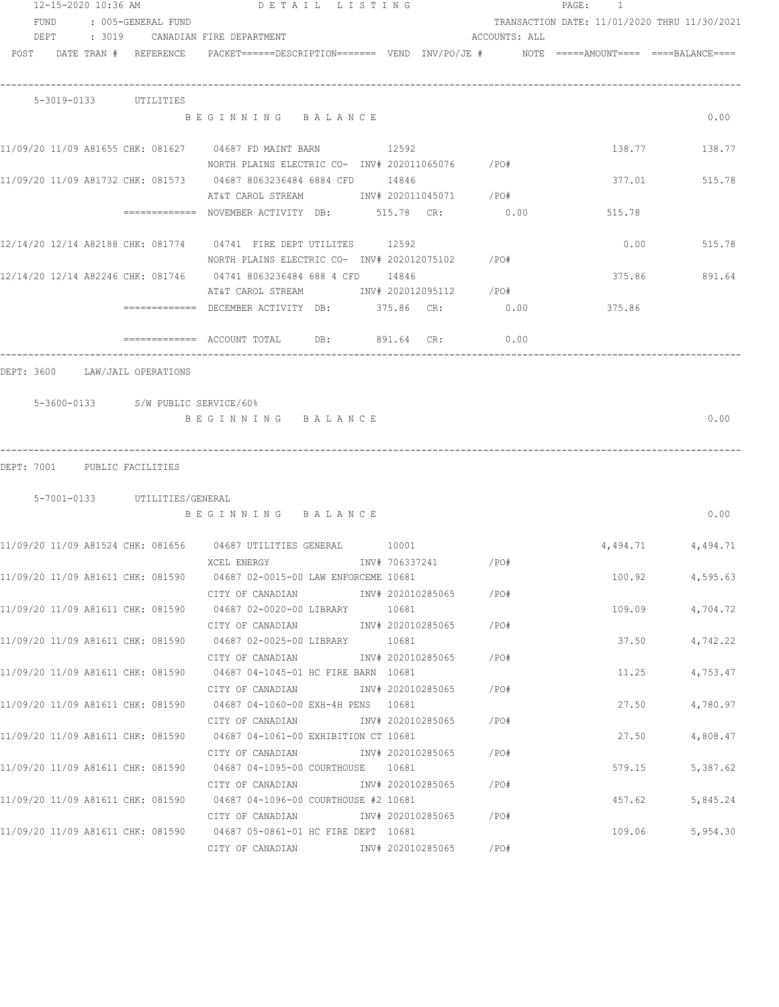|      | 12-15-2020 10:36 AM |                               | DETAIL LISTING                                                                                                            |                        |                        |               | PAGE:<br>$\overline{1}$                      |                   |
|------|---------------------|-------------------------------|---------------------------------------------------------------------------------------------------------------------------|------------------------|------------------------|---------------|----------------------------------------------|-------------------|
| FUND |                     | : 005-GENERAL FUND            |                                                                                                                           |                        |                        |               | TRANSACTION DATE: 11/01/2020 THRU 11/30/2021 |                   |
|      |                     |                               | DEPT : 3019 CANADIAN FIRE DEPARTMENT                                                                                      |                        |                        | ACCOUNTS: ALL |                                              |                   |
|      |                     | POST DATE TRAN # REFERENCE    | PACKET======DESCRIPTION======= VEND INV/PO/JE #     NOTE =====AMOUNT==== ====BALANCE====                                  |                        |                        |               |                                              |                   |
|      |                     | 5-3019-0133 UTILITIES         |                                                                                                                           |                        |                        |               |                                              |                   |
|      |                     |                               | BEGINNING BALANCE                                                                                                         |                        |                        |               |                                              | 0.00              |
|      |                     |                               | NORTH PLAINS ELECTRIC CO- INV# 202011065076 / PO#                                                                         |                        |                        |               |                                              | 138.77 138.77     |
|      |                     |                               | AT&T CAROL STREAM 1NV# 202011045071 /PO#                                                                                  |                        |                        |               |                                              | 377.01 515.78     |
|      |                     |                               | =============    NOVEMBER  ACTIVITY    DB:                 515.78     CR:                    0.00                         |                        |                        |               | 515.78                                       |                   |
|      |                     |                               | 12/14/20 12/14 A82188 CHK: 081774 04741 FIRE DEPT UTILITES 12592<br>NORTH PLAINS ELECTRIC CO- INV# 202012075102 / PO#     |                        |                        |               | 0.00                                         | 515.78            |
|      |                     |                               |                                                                                                                           |                        |                        |               | 375.86                                       | 891.64            |
|      |                     |                               | AT&T CAROL STREAM 1NV# 202012095112 / PO#                                                                                 |                        |                        |               |                                              |                   |
|      |                     |                               | ============ DECEMBER ACTIVITY DB: 375.86 CR:                                                                             |                        |                        | 0.00          | 375.86                                       |                   |
|      |                     |                               | ============= ACCOUNT TOTAL DB: 891.64 CR:                                                                                |                        |                        | 0.00          |                                              |                   |
|      |                     |                               | BEGINNING BALANCE                                                                                                         |                        |                        |               |                                              | 0.00              |
|      |                     | DEPT: 7001 PUBLIC FACILITIES  |                                                                                                                           |                        |                        |               |                                              |                   |
|      |                     | 5-7001-0133 UTILITIES/GENERAL |                                                                                                                           |                        |                        |               |                                              |                   |
|      |                     |                               | BEGINNING BALANCE                                                                                                         |                        |                        |               |                                              | 0.00              |
|      |                     |                               |                                                                                                                           |                        |                        |               |                                              | 4,494.71 4,494.71 |
|      |                     |                               | XCEL ENERGY<br>11/09/20 11/09 A81611 CHK: 081590 04687 02-0015-00 LAW ENFORCEME 10681                                     | INV# 706337241         |                        | /PO#          | 100.92                                       | 4,595.63          |
|      |                     |                               | CITY OF CANADIAN<br>11/09/20 11/09 A81611 CHK: 081590  04687 02-0020-00 LIBRARY   10681                                   |                        | INV# 202010285065 /PO# |               | 109.09                                       | 4,704.72          |
|      |                     |                               | CITY OF CANADIAN<br>11/09/20 11/09 A81611 CHK: 081590 04687 02-0025-00 LIBRARY 10681                                      | INV# 202010285065 /PO# |                        |               | 37.50                                        | 4,742.22          |
|      |                     |                               | CITY OF CANADIAN<br>11/09/20 11/09 A81611 CHK: 081590 04687 04-1045-01 HC FIRE BARN 10681                                 |                        | INV# 202010285065 /PO# |               | 11.25                                        | 4,753.47          |
|      |                     |                               | CITY OF CANADIAN<br>11/09/20 11/09 A81611 CHK: 081590 04687 04-1060-00 EXH-4H PENS 10681                                  |                        | INV# 202010285065      | /PO#          | 27.50                                        | 4,780.97          |
|      |                     |                               | CITY OF CANADIAN<br>11/09/20 11/09 A81611 CHK: 081590 04687 04-1061-00 EXHIBITION CT 10681                                |                        | INV# 202010285065      | /PO#          | 27.50                                        | 4,808.47          |
|      |                     |                               | CITY OF CANADIAN<br>11/09/20 11/09 A81611 CHK: 081590 04687 04-1095-00 COURTHOUSE 10681                                   |                        | INV# 202010285065 /PO# |               | 579.15                                       | 5,387.62          |
|      |                     |                               | CITY OF CANADIAN              INV# 202010285065<br>11/09/20 11/09 A81611 CHK: 081590 04687 04-1096-00 COURTHOUSE #2 10681 |                        |                        | /PO#          | 457.62                                       | 5,845.24          |
|      |                     |                               | CITY OF CANADIAN              INV# 202010285065<br>11/09/20 11/09 A81611 CHK: 081590 04687 05-0861-01 HC FIRE DEPT 10681  |                        |                        | /PO#          | 109.06                                       | 5,954.30          |
|      |                     |                               | CITY OF CANADIAN MARK 202010285065                                                                                        |                        |                        | /PO#          |                                              |                   |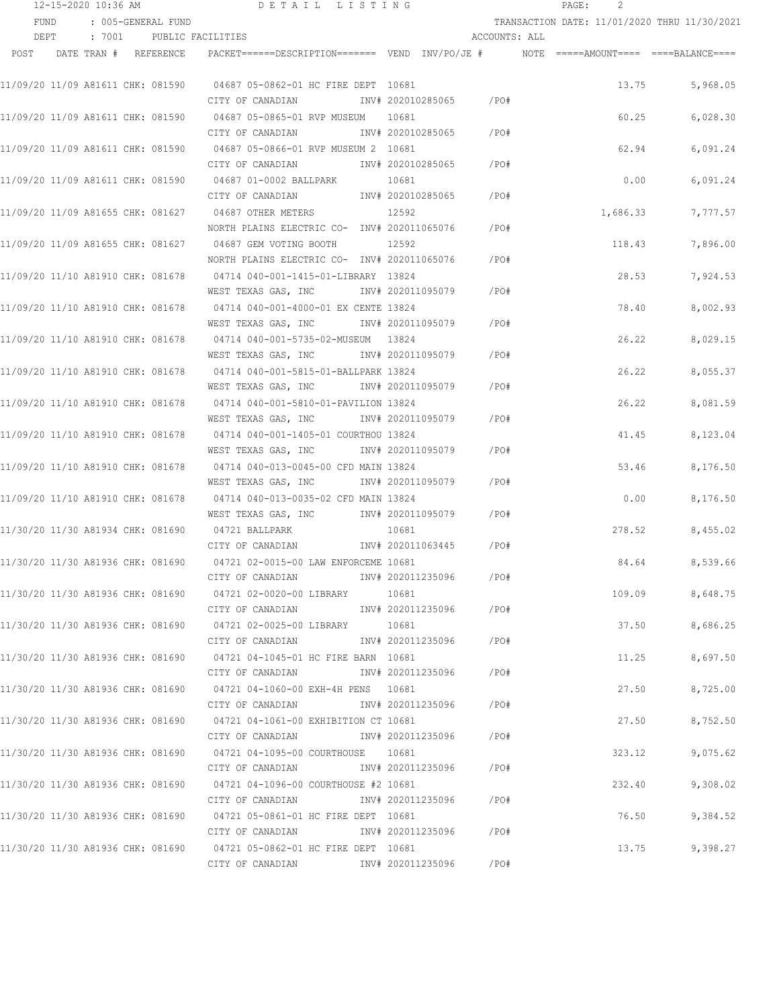|      | 12-15-2020 10:36 AM |                                   | DETAIL LISTING                                                                                     |                   |               | 2<br>PAGE:                                   |          |
|------|---------------------|-----------------------------------|----------------------------------------------------------------------------------------------------|-------------------|---------------|----------------------------------------------|----------|
|      | FUND                | : 005-GENERAL FUND                |                                                                                                    |                   |               | TRANSACTION DATE: 11/01/2020 THRU 11/30/2021 |          |
|      | DEPT                | : 7001 PUBLIC FACILITIES          |                                                                                                    |                   | ACCOUNTS: ALL |                                              |          |
| POST |                     | DATE TRAN # REFERENCE             | PACKET======DESCRIPTION========  VEND  INV/PO/JE #          NOTE  =====AMOUNT====  ====BALANCE==== |                   |               |                                              |          |
|      |                     | 11/09/20 11/09 A81611 CHK: 081590 | 04687 05-0862-01 HC FIRE DEPT 10681                                                                |                   |               | 13.75                                        | 5,968.05 |
|      |                     |                                   | CITY OF CANADIAN                                                                                   | INV# 202010285065 | /PO#          |                                              |          |
|      |                     |                                   | 11/09/20 11/09 A81611 CHK: 081590                04687 05-0865-01 RVP MUSEUM                       | 10681             |               | 60.25                                        | 6,028.30 |
|      |                     |                                   | CITY OF CANADIAN                                                                                   | INV# 202010285065 | /PO#          |                                              |          |
|      |                     |                                   | 11/09/20 11/09 A81611 CHK: 081590 04687 05-0866-01 RVP MUSEUM 2 10681                              |                   |               | 62.94                                        | 6,091.24 |
|      |                     |                                   | CITY OF CANADIAN                                                                                   | INV# 202010285065 | /PO#          |                                              |          |
|      |                     | 11/09/20 11/09 A81611 CHK: 081590 | 04687 01-0002 BALLPARK                                                                             | 10681             |               | 0.00                                         | 6,091.24 |
|      |                     |                                   | CITY OF CANADIAN                                                                                   | INV# 202010285065 | /PO#          |                                              |          |
|      |                     | 11/09/20 11/09 A81655 CHK: 081627 | 04687 OTHER METERS                                                                                 | 12592             |               | 1,686.33                                     | 7,777.57 |
|      |                     |                                   | NORTH PLAINS ELECTRIC CO- INV# 202011065076                                                        |                   | /PO#          |                                              |          |
|      |                     | 11/09/20 11/09 A81655 CHK: 081627 | 04687 GEM VOTING BOOTH                                                                             | 12592             |               | 118.43                                       | 7,896.00 |
|      |                     |                                   | NORTH PLAINS ELECTRIC CO- INV# 202011065076                                                        |                   | /PO#          |                                              |          |
|      |                     | 11/09/20 11/10 A81910 CHK: 081678 | 04714 040-001-1415-01-LIBRARY 13824                                                                |                   |               | 28.53                                        | 7,924.53 |
|      |                     |                                   | WEST TEXAS GAS, INC NNV# 202011095079                                                              |                   | /PO#          |                                              |          |
|      |                     |                                   |                                                                                                    |                   |               | 78.40                                        | 8,002.93 |
|      |                     |                                   | WEST TEXAS GAS, INC METALL 1NV# 202011095079                                                       |                   | /PO#          |                                              |          |
|      |                     |                                   |                                                                                                    |                   |               | 26.22                                        | 8,029.15 |
|      |                     |                                   | WEST TEXAS GAS, INC METALL 1NV# 202011095079                                                       |                   | /PO#          |                                              |          |
|      |                     | 11/09/20 11/10 A81910 CHK: 081678 | 04714 040-001-5815-01-BALLPARK 13824                                                               |                   |               | 26.22                                        | 8,055.37 |
|      |                     |                                   | WEST TEXAS GAS, INC                                                                                | INV# 202011095079 | /PO#          |                                              |          |
|      |                     | 11/09/20 11/10 A81910 CHK: 081678 | 04714 040-001-5810-01-PAVILION 13824                                                               |                   |               | 26.22                                        | 8,081.59 |
|      |                     |                                   | WEST TEXAS GAS, INC                                                                                | INV# 202011095079 | /PO#          |                                              |          |
|      |                     | 11/09/20 11/10 A81910 CHK: 081678 | 04714 040-001-1405-01 COURTHOU 13824                                                               |                   |               | 41.45                                        | 8,123.04 |
|      |                     |                                   | WEST TEXAS GAS, INC                                                                                | INV# 202011095079 | /PO#          |                                              |          |
|      |                     | 11/09/20 11/10 A81910 CHK: 081678 | 04714 040-013-0045-00 CFD MAIN 13824                                                               |                   |               | 53.46                                        | 8,176.50 |
|      |                     |                                   | WEST TEXAS GAS, INC                                                                                | INV# 202011095079 | /PO#          |                                              |          |
|      |                     | 11/09/20 11/10 A81910 CHK: 081678 | 04714 040-013-0035-02 CFD MAIN 13824                                                               |                   |               | 0.00                                         | 8,176.50 |
|      |                     |                                   | WEST TEXAS GAS, INC                                                                                | INV# 202011095079 | /PO#          |                                              |          |
|      |                     | 11/30/20 11/30 A81934 CHK: 081690 | 04721 BALLPARK                                                                                     | 10681             |               | 278.52                                       | 8,455.02 |
|      |                     |                                   | CITY OF CANADIAN                                                                                   | INV# 202011063445 | /PO#          |                                              |          |
|      |                     |                                   | 11/30/20 11/30 A81936 CHK: 081690 04721 02-0015-00 LAW ENFORCEME 10681                             |                   |               | 84.64                                        | 8,539.66 |
|      |                     |                                   | CITY OF CANADIAN                                                                                   | INV# 202011235096 | /PO#          |                                              |          |
|      |                     |                                   |                                                                                                    | 10681             |               | 109.09                                       | 8,648.75 |
|      |                     |                                   | CITY OF CANADIAN                                                                                   | INV# 202011235096 | /PO#          |                                              |          |
|      |                     | 11/30/20 11/30 A81936 CHK: 081690 | 04721 02-0025-00 LIBRARY 10681                                                                     |                   |               | 37.50                                        | 8,686.25 |
|      |                     |                                   | CITY OF CANADIAN                                                                                   | INV# 202011235096 | /PO#          |                                              |          |
|      |                     |                                   |                                                                                                    |                   |               | 11.25                                        | 8,697.50 |
|      |                     |                                   | CITY OF CANADIAN                                                                                   | INV# 202011235096 | $/$ PO#       |                                              |          |
|      |                     |                                   |                                                                                                    |                   |               | 27.50                                        | 8,725.00 |
|      |                     |                                   | CITY OF CANADIAN                                                                                   | INV# 202011235096 | $/$ PO#       |                                              |          |
|      |                     |                                   |                                                                                                    |                   |               | 27.50                                        | 8,752.50 |
|      |                     |                                   | CITY OF CANADIAN                                                                                   | INV# 202011235096 | /PO#          |                                              |          |
|      |                     |                                   | 11/30/20 11/30 A81936 CHK: 081690                04721 04-1095-00 COURTHOUSE                10681  |                   |               | 323.12                                       | 9,075.62 |
|      |                     |                                   | CITY OF CANADIAN                                                                                   | INV# 202011235096 | /PO#          |                                              |          |
|      |                     | 11/30/20 11/30 A81936 CHK: 081690 | 04721 04-1096-00 COURTHOUSE #2 10681                                                               |                   |               | 232.40                                       | 9,308.02 |
|      |                     |                                   | CITY OF CANADIAN                                                                                   | INV# 202011235096 | $/$ PO#       |                                              |          |
|      |                     |                                   | 11/30/20 11/30 A81936 CHK: 081690 04721 05-0861-01 HC FIRE DEPT 10681                              |                   |               | 76.50                                        | 9,384.52 |
|      |                     |                                   | CITY OF CANADIAN                                                                                   | INV# 202011235096 | $/$ PO#       |                                              |          |
|      |                     |                                   | 11/30/20 11/30 A81936 CHK: 081690 04721 05-0862-01 HC FIRE DEPT 10681                              |                   |               | 13.75                                        | 9,398.27 |
|      |                     |                                   | CITY OF CANADIAN INV# 202011235096                                                                 |                   | /PO#          |                                              |          |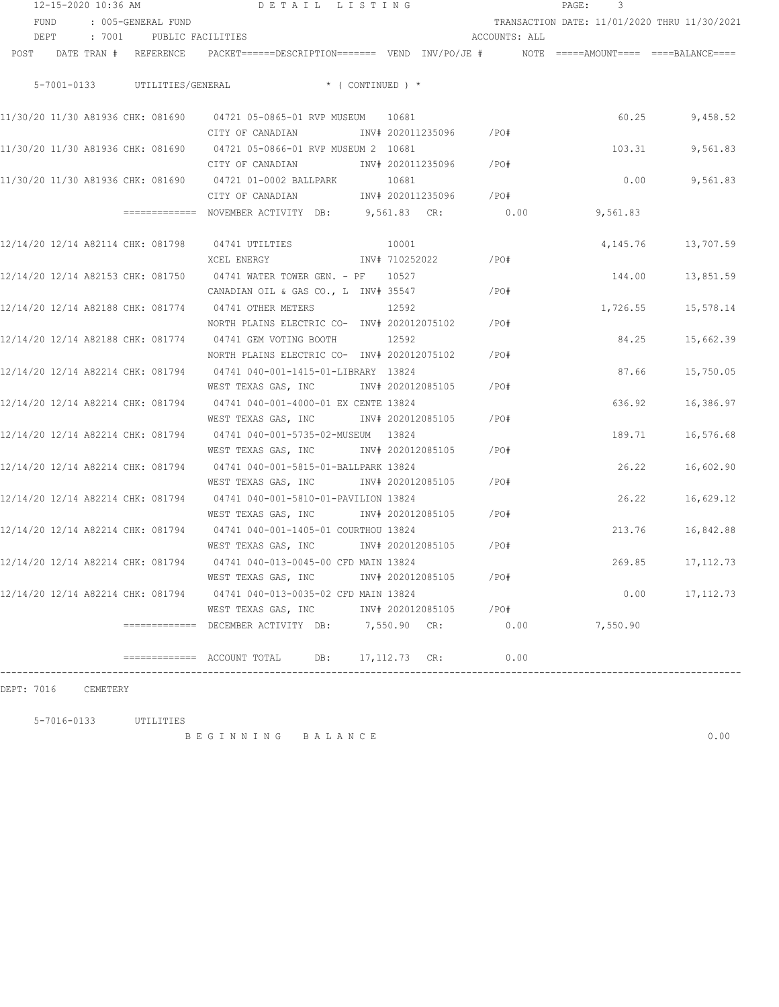| 12-15-2020 10:36 AM |                            |  |                                   |                                                                                                                       | DETAIL LISTING             |  |               | PAGE:<br>3                                   |            |  |
|---------------------|----------------------------|--|-----------------------------------|-----------------------------------------------------------------------------------------------------------------------|----------------------------|--|---------------|----------------------------------------------|------------|--|
|                     | FUND<br>: 005-GENERAL FUND |  |                                   |                                                                                                                       |                            |  |               | TRANSACTION DATE: 11/01/2020 THRU 11/30/2021 |            |  |
|                     | DEPT : 7001                |  |                                   | PUBLIC FACILITIES                                                                                                     |                            |  | ACCOUNTS: ALL |                                              |            |  |
|                     |                            |  | POST DATE TRAN # REFERENCE        | PACKET======DESCRIPTION======= VEND INV/PO/JE #    NOTE =====AMOUNT==== ====BALANCE====                               |                            |  |               |                                              |            |  |
|                     |                            |  |                                   | 5-7001-0133 UTILITIES/GENERAL * (CONTINUED) *                                                                         |                            |  |               |                                              |            |  |
|                     |                            |  |                                   | CITY OF CANADIAN               INV# 202011235096        /PO#                                                          |                            |  |               | 60.25                                        | 9,458.52   |  |
|                     |                            |  |                                   | 11/30/20 11/30 A81936 CHK: 081690 04721 05-0866-01 RVP MUSEUM 2 10681<br>CITY OF CANADIAN                             | INV# 202011235096 /PO#     |  |               | 103.31                                       | 9,561.83   |  |
|                     |                            |  |                                   | 11/30/20 11/30 A81936 CHK: 081690 04721 01-0002 BALLPARK<br>CITY OF CANADIAN                                          | 10681<br>INV# 202011235096 |  | /PO#          | 0.00                                         | 9,561.83   |  |
|                     |                            |  |                                   | ============ NOVEMBER ACTIVITY DB: 9,561.83 CR: 0.00                                                                  |                            |  |               | 9,561.83                                     |            |  |
|                     |                            |  |                                   | 12/14/20 12/14 A82114 CHK: 081798 04741 UTILTIES<br>XCEL ENERGY                                                       | 10001<br>INV# 710252022    |  | /PO#          | 4,145.76                                     | 13,707.59  |  |
|                     |                            |  |                                   | 12/14/20 12/14 A82153 CHK: 081750 04741 WATER TOWER GEN. - PF 10527<br>CANADIAN OIL & GAS CO., L INV# 35547           |                            |  | /PO#          | 144.00                                       | 13,851.59  |  |
|                     |                            |  |                                   | 12/14/20 12/14 A82188 CHK: 081774 04741 OTHER METERS<br>NORTH PLAINS ELECTRIC CO- INV# 202012075102                   | 12592                      |  | / PO#         | 1,726.55                                     | 15,578.14  |  |
|                     |                            |  |                                   | 12/14/20 12/14 A82188 CHK: 081774 04741 GEM VOTING BOOTH<br>NORTH PLAINS ELECTRIC CO- INV# 202012075102               | 12592                      |  | /PO#          | 84.25                                        | 15,662.39  |  |
|                     |                            |  |                                   | 12/14/20 12/14 A82214 CHK: 081794 04741 040-001-1415-01-LIBRARY 13824<br>WEST TEXAS GAS, INC                          | INV# 202012085105          |  | /PO#          | 87.66                                        | 15,750.05  |  |
|                     |                            |  |                                   | 12/14/20 12/14 A82214 CHK: 081794 04741 040-001-4000-01 EX CENTE 13824<br>WEST TEXAS GAS, INC                         | INV# 202012085105          |  | /PO#          | 636.92                                       | 16,386.97  |  |
|                     |                            |  |                                   | 12/14/20 12/14 A82214 CHK: 081794 04741 040-001-5735-02-MUSEUM 13824<br>WEST TEXAS GAS, INC MONTH 202012085105        |                            |  | /PO#          | 189.71                                       | 16,576.68  |  |
|                     |                            |  |                                   | 12/14/20 12/14 A82214 CHK: 081794 04741 040-001-5815-01-BALLPARK 13824<br>WEST TEXAS GAS, INC MONTH 202012085105      |                            |  | /PO#          | 26.22                                        | 16,602.90  |  |
|                     |                            |  | 12/14/20 12/14 A82214 CHK: 081794 | 04741 040-001-5810-01-PAVILION 13824<br>WEST TEXAS GAS, INC     INV# 202012085105                                     |                            |  | $/$ PO#       | 26.22                                        | 16,629.12  |  |
|                     |                            |  |                                   | 12/14/20 12/14 A82214 CHK: 081794 04741 040-001-1405-01 COURTHOU 13824<br>WEST TEXAS GAS, INC MOTH 202012085105 / PO# |                            |  |               | 213.76                                       | 16,842.88  |  |
|                     |                            |  | 12/14/20 12/14 A82214 CHK: 081794 | 04741 040-013-0045-00 CFD MAIN 13824<br>WEST TEXAS GAS, INC                                                           | INV# 202012085105          |  | /PO#          | 269.85                                       | 17,112.73  |  |
|                     |                            |  |                                   | 12/14/20 12/14 A82214 CHK: 081794    04741 040-013-0035-02 CFD MAIN 13824<br>WEST TEXAS GAS, INC                      | INV# 202012085105          |  | /PO#          | 0.00                                         | 17, 112.73 |  |
|                     |                            |  |                                   | ============= DECEMBER ACTIVITY DB:                                                                                   | 7,550.90 CR:               |  | 0.00          | 7,550.90                                     |            |  |
|                     |                            |  |                                   | DB:                                                                                                                   | 17, 112.73 CR:             |  | 0.00          |                                              |            |  |

DEPT: 7016 CEMETERY

5-7016-0133 UTILITIES

B E G I N N I N G B A L A N C E 0.00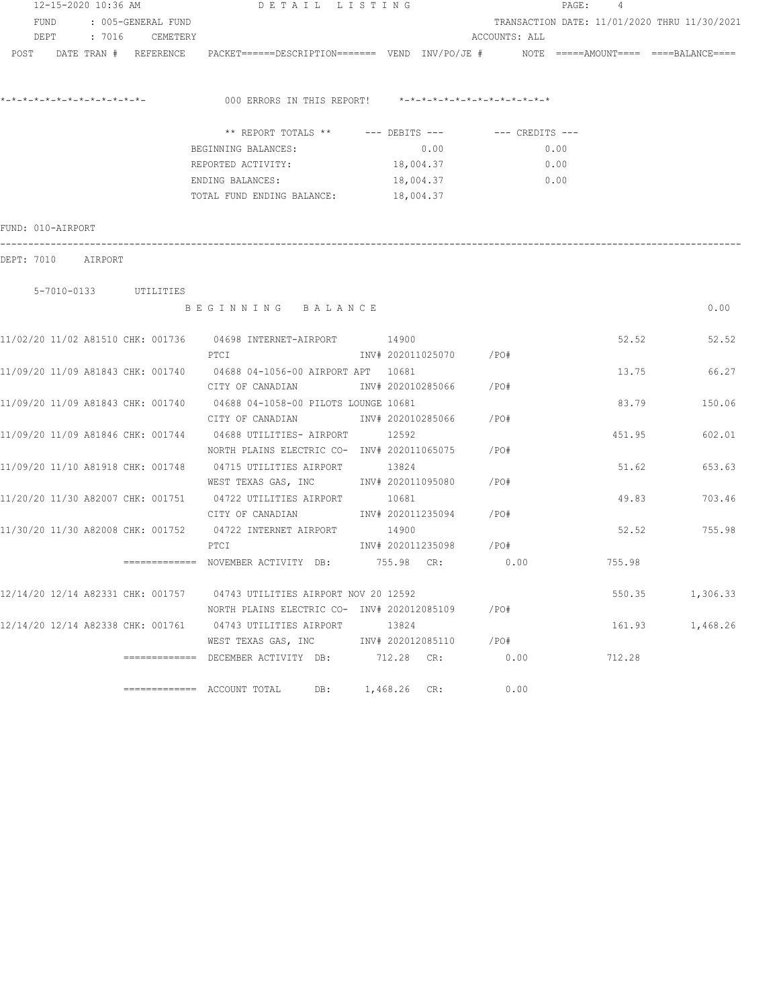| 12-15-2020 10:36 AM     |  |  | DETAIL LISTING                                                                                                  |                |                         | PAGE:<br>4    |        |                                              |
|-------------------------|--|--|-----------------------------------------------------------------------------------------------------------------|----------------|-------------------------|---------------|--------|----------------------------------------------|
| FUND : 005-GENERAL FUND |  |  |                                                                                                                 |                |                         |               |        | TRANSACTION DATE: 11/01/2020 THRU 11/30/2021 |
| DEPT : 7016 CEMETERY    |  |  |                                                                                                                 |                |                         | ACCOUNTS: ALL |        |                                              |
|                         |  |  | POST DATE TRAN # REFERENCE PACKET======DESCRIPTION======= VEND INV/PO/JE # NOTE =====AMOUNT==== ====BALANCE==== |                |                         |               |        |                                              |
|                         |  |  | 000 ERRORS IN THIS REPORT! *-*-*-*-*-*-*-*-*-*-*-*-*-*-                                                         |                |                         |               |        |                                              |
|                         |  |  | ** REPORT TOTALS ** --- DEBITS --- -- -- CREDITS ---                                                            |                |                         |               |        |                                              |
|                         |  |  | BEGINNING BALANCES:                                                                                             |                | 0.00                    | 0.00          |        |                                              |
|                         |  |  | REPORTED ACTIVITY:                                                                                              |                | 18,004.37               | 0.00          |        |                                              |
|                         |  |  | ENDING BALANCES:<br>TOTAL FUND ENDING BALANCE:                                                                  |                | 18,004.37<br>18,004.37  | 0.00          |        |                                              |
|                         |  |  |                                                                                                                 |                |                         |               |        |                                              |
| FUND: 010-AIRPORT       |  |  |                                                                                                                 |                |                         |               |        |                                              |
| DEPT: 7010 AIRPORT      |  |  |                                                                                                                 |                |                         |               |        |                                              |
|                         |  |  |                                                                                                                 |                |                         |               |        |                                              |
| 5-7010-0133 UTILITIES   |  |  |                                                                                                                 |                |                         |               |        |                                              |
|                         |  |  | BEGINNING BALANCE                                                                                               |                |                         |               |        | 0.00                                         |
|                         |  |  | 11/02/20 11/02 A81510 CHK: 001736 04698 INTERNET-AIRPORT 14900                                                  |                |                         |               | 52.52  | 52.52                                        |
|                         |  |  | PTCI                                                                                                            |                | INV# 202011025070 / PO# |               |        |                                              |
|                         |  |  | 11/09/20 11/09 A81843 CHK: 001740 04688 04-1056-00 AIRPORT APT 10681                                            |                |                         |               | 13.75  | 66.27                                        |
|                         |  |  | CITY OF CANADIAN                                                                                                |                | INV# 202010285066 /PO#  |               |        |                                              |
|                         |  |  | 11/09/20 11/09 A81843 CHK: 001740 04688 04-1058-00 PILOTS LOUNGE 10681                                          |                |                         |               | 83.79  | 150.06                                       |
|                         |  |  | CITY OF CANADIAN TNV# 202010285066 / PO#                                                                        |                |                         |               |        |                                              |
|                         |  |  | 11/09/20 11/09 A81846 CHK: 001744 04688 UTILITIES- AIRPORT 12592                                                |                |                         |               | 451.95 | 602.01                                       |
|                         |  |  | NORTH PLAINS ELECTRIC CO- INV# 202011065075 / PO#                                                               |                |                         |               |        |                                              |
|                         |  |  | 11/09/20 11/10 A81918 CHK: 001748 04715 UTILITIES AIRPORT 13824                                                 |                |                         |               | 51.62  | 653.63                                       |
|                         |  |  | WEST TEXAS GAS, INC        INV# 202011095080     /PO#                                                           |                |                         |               |        |                                              |
|                         |  |  | 11/20/20 11/30 A82007 CHK: 001751 04722 UTILITIES AIRPORT 10681                                                 |                |                         |               |        | 49.83<br>703.46                              |
|                         |  |  | CITY OF CANADIAN                                                                                                |                | INV# 202011235094 /PO#  |               |        |                                              |
|                         |  |  | 11/30/20 11/30 A82008 CHK: 001752 04722 INTERNET AIRPORT                                                        | 14900          |                         |               |        | 755.98<br>52.52                              |
|                         |  |  | PTCI                                                                                                            |                | INV# 202011235098 /PO#  |               |        |                                              |
|                         |  |  | ============ NOVEMBER ACTIVITY DB: 755.98 CR:                                                                   |                |                         | 0.00          | 755.98 |                                              |
|                         |  |  | 12/14/20 12/14 A82331 CHK: 001757 04743 UTILITIES AIRPORT NOV 20 12592                                          |                |                         |               | 550.35 | 1,306.33                                     |
|                         |  |  | NORTH PLAINS ELECTRIC CO- INV# 202012085109                                                                     |                |                         | / PO#         |        |                                              |
|                         |  |  | 12/14/20 12/14 A82338 CHK: 001761 04743 UTILITIES AIRPORT 13824                                                 |                |                         |               | 161.93 | 1,468.26                                     |
|                         |  |  | WEST TEXAS GAS, INC NW# 202012085110                                                                            |                |                         | /PO#          |        |                                              |
|                         |  |  | ============= DECEMBER ACTIVITY DB:                                                                             | 712.28 CR:     |                         | 0.00          | 712.28 |                                              |
|                         |  |  | $\equiv$ ============ ACCOUNT TOTAL<br>DB:                                                                      | $1,468.26$ CR: |                         | 0.00          |        |                                              |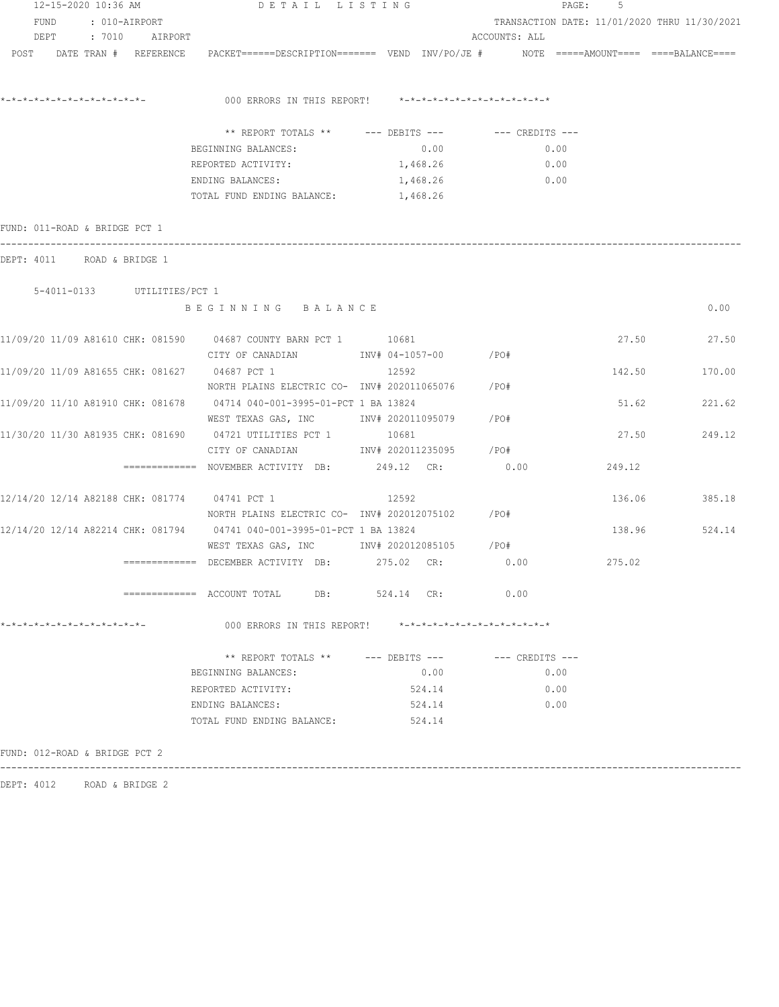| FUND : 010-AIRPORT<br>DEPT : 7010 AIRPORT<br>ACCOUNTS: ALL<br>POST DATE TRAN # REFERENCE PACKET======DESCRIPTION======= VEND INV/PO/JE # NOTE =====AMOUNT==== ====BALANCE====<br>000 ERRORS IN THIS REPORT! *-*-*-*-*-*-*-*-*-*-*-*-*-*-<br>** REPORT TOTALS ** --- DEBITS --- -- CREDITS ---<br>0.00<br>0.00<br>BEGINNING BALANCES:<br>1,468.26<br>0.00<br>REPORTED ACTIVITY:<br>1,468.26<br>$\sim 0.00$<br>ENDING BALANCES:<br>TOTAL FUND ENDING BALANCE: 1,468.26<br>5-4011-0133 UTILITIES/PCT 1<br>BEGINNING BALANCE<br>27.50 27.50<br>CITY OF CANADIAN               INV# 04-1057-00          /PO#<br>12592<br>142.50<br>NORTH PLAINS ELECTRIC CO- INV# 202011065076 /PO#<br>51.62<br>221.62<br>WEST TEXAS GAS, INC        INV# 202011095079      /PO#<br>10681<br>27.50<br>249.12<br>CITY OF CANADIAN 1NV# 202011235095 / PO#<br>0.00<br>============= NOVEMBER ACTIVITY DB: 249.12 CR:<br>249.12<br>12592<br>136.06 385.18<br>NORTH PLAINS ELECTRIC CO- INV# 202012075102 / PO#<br>138.96 524.14<br>============= DECEMBER ACTIVITY DB: 275.02 CR: 0.00 275.02 275.02<br>============ ACCOUNT TOTAL DB: 524.14 CR: 0.00<br>*-*-*-*-*-*-*-*-*-*-*-*-*-*-<br>000 ERRORS IN THIS REPORT! *-*-*-*-*-*-*-*-*-*-*-*-*-*-<br>** REPORT TOTALS ** $---$ DEBITS $---$<br>$---$ CREDITS $---$<br>BEGINNING BALANCES:<br>0.00<br>0.00<br>524.14<br>REPORTED ACTIVITY:<br>0.00<br>ENDING BALANCES:<br>0.00<br>524.14<br>TOTAL FUND ENDING BALANCE: 524.14 | 12-15-2020 10:36 AM | DETAIL LISTING |  | 5<br>PAGE:<br>TRANSACTION DATE: 11/01/2020 THRU 11/30/2021 |  |        |  |
|------------------------------------------------------------------------------------------------------------------------------------------------------------------------------------------------------------------------------------------------------------------------------------------------------------------------------------------------------------------------------------------------------------------------------------------------------------------------------------------------------------------------------------------------------------------------------------------------------------------------------------------------------------------------------------------------------------------------------------------------------------------------------------------------------------------------------------------------------------------------------------------------------------------------------------------------------------------------------------------------------------------------------------------------------------------------------------------------------------------------------------------------------------------------------------------------------------------------------------------------------------------------------------------------------------------------------------------------------------------------------------------------------------------------------------------------------|---------------------|----------------|--|------------------------------------------------------------|--|--------|--|
|                                                                                                                                                                                                                                                                                                                                                                                                                                                                                                                                                                                                                                                                                                                                                                                                                                                                                                                                                                                                                                                                                                                                                                                                                                                                                                                                                                                                                                                      |                     |                |  |                                                            |  |        |  |
|                                                                                                                                                                                                                                                                                                                                                                                                                                                                                                                                                                                                                                                                                                                                                                                                                                                                                                                                                                                                                                                                                                                                                                                                                                                                                                                                                                                                                                                      |                     |                |  |                                                            |  |        |  |
|                                                                                                                                                                                                                                                                                                                                                                                                                                                                                                                                                                                                                                                                                                                                                                                                                                                                                                                                                                                                                                                                                                                                                                                                                                                                                                                                                                                                                                                      |                     |                |  |                                                            |  |        |  |
|                                                                                                                                                                                                                                                                                                                                                                                                                                                                                                                                                                                                                                                                                                                                                                                                                                                                                                                                                                                                                                                                                                                                                                                                                                                                                                                                                                                                                                                      |                     |                |  |                                                            |  |        |  |
|                                                                                                                                                                                                                                                                                                                                                                                                                                                                                                                                                                                                                                                                                                                                                                                                                                                                                                                                                                                                                                                                                                                                                                                                                                                                                                                                                                                                                                                      |                     |                |  |                                                            |  |        |  |
|                                                                                                                                                                                                                                                                                                                                                                                                                                                                                                                                                                                                                                                                                                                                                                                                                                                                                                                                                                                                                                                                                                                                                                                                                                                                                                                                                                                                                                                      |                     |                |  |                                                            |  |        |  |
|                                                                                                                                                                                                                                                                                                                                                                                                                                                                                                                                                                                                                                                                                                                                                                                                                                                                                                                                                                                                                                                                                                                                                                                                                                                                                                                                                                                                                                                      |                     |                |  |                                                            |  |        |  |
|                                                                                                                                                                                                                                                                                                                                                                                                                                                                                                                                                                                                                                                                                                                                                                                                                                                                                                                                                                                                                                                                                                                                                                                                                                                                                                                                                                                                                                                      |                     |                |  |                                                            |  |        |  |
|                                                                                                                                                                                                                                                                                                                                                                                                                                                                                                                                                                                                                                                                                                                                                                                                                                                                                                                                                                                                                                                                                                                                                                                                                                                                                                                                                                                                                                                      |                     |                |  |                                                            |  |        |  |
| FUND: 011-ROAD & BRIDGE PCT 1<br>DEPT: 4011 ROAD & BRIDGE 1<br>11/09/20 11/09 A81610 CHK: 081590 04687 COUNTY BARN PCT 1 10681<br>11/09/20 11/09 A81655 CHK: 081627 04687 PCT 1<br>11/09/20 11/10 A81910 CHK: 081678 04714 040-001-3995-01-PCT 1 BA 13824<br>11/30/20 11/30 A81935 CHK: 081690 04721 UTILITIES PCT 1<br>12/14/20 12/14 A82188 CHK: 081774 04741 PCT 1<br>12/14/20 12/14 A82214 CHK: 081794 04741 040-001-3995-01-PCT 1 BA 13824                                                                                                                                                                                                                                                                                                                                                                                                                                                                                                                                                                                                                                                                                                                                                                                                                                                                                                                                                                                                      |                     |                |  |                                                            |  |        |  |
|                                                                                                                                                                                                                                                                                                                                                                                                                                                                                                                                                                                                                                                                                                                                                                                                                                                                                                                                                                                                                                                                                                                                                                                                                                                                                                                                                                                                                                                      |                     |                |  |                                                            |  |        |  |
|                                                                                                                                                                                                                                                                                                                                                                                                                                                                                                                                                                                                                                                                                                                                                                                                                                                                                                                                                                                                                                                                                                                                                                                                                                                                                                                                                                                                                                                      |                     |                |  |                                                            |  |        |  |
|                                                                                                                                                                                                                                                                                                                                                                                                                                                                                                                                                                                                                                                                                                                                                                                                                                                                                                                                                                                                                                                                                                                                                                                                                                                                                                                                                                                                                                                      |                     |                |  |                                                            |  |        |  |
|                                                                                                                                                                                                                                                                                                                                                                                                                                                                                                                                                                                                                                                                                                                                                                                                                                                                                                                                                                                                                                                                                                                                                                                                                                                                                                                                                                                                                                                      |                     |                |  |                                                            |  | 0.00   |  |
|                                                                                                                                                                                                                                                                                                                                                                                                                                                                                                                                                                                                                                                                                                                                                                                                                                                                                                                                                                                                                                                                                                                                                                                                                                                                                                                                                                                                                                                      |                     |                |  |                                                            |  |        |  |
|                                                                                                                                                                                                                                                                                                                                                                                                                                                                                                                                                                                                                                                                                                                                                                                                                                                                                                                                                                                                                                                                                                                                                                                                                                                                                                                                                                                                                                                      |                     |                |  |                                                            |  |        |  |
|                                                                                                                                                                                                                                                                                                                                                                                                                                                                                                                                                                                                                                                                                                                                                                                                                                                                                                                                                                                                                                                                                                                                                                                                                                                                                                                                                                                                                                                      |                     |                |  |                                                            |  |        |  |
|                                                                                                                                                                                                                                                                                                                                                                                                                                                                                                                                                                                                                                                                                                                                                                                                                                                                                                                                                                                                                                                                                                                                                                                                                                                                                                                                                                                                                                                      |                     |                |  |                                                            |  | 170.00 |  |
|                                                                                                                                                                                                                                                                                                                                                                                                                                                                                                                                                                                                                                                                                                                                                                                                                                                                                                                                                                                                                                                                                                                                                                                                                                                                                                                                                                                                                                                      |                     |                |  |                                                            |  |        |  |
|                                                                                                                                                                                                                                                                                                                                                                                                                                                                                                                                                                                                                                                                                                                                                                                                                                                                                                                                                                                                                                                                                                                                                                                                                                                                                                                                                                                                                                                      |                     |                |  |                                                            |  |        |  |
|                                                                                                                                                                                                                                                                                                                                                                                                                                                                                                                                                                                                                                                                                                                                                                                                                                                                                                                                                                                                                                                                                                                                                                                                                                                                                                                                                                                                                                                      |                     |                |  |                                                            |  |        |  |
|                                                                                                                                                                                                                                                                                                                                                                                                                                                                                                                                                                                                                                                                                                                                                                                                                                                                                                                                                                                                                                                                                                                                                                                                                                                                                                                                                                                                                                                      |                     |                |  |                                                            |  |        |  |
|                                                                                                                                                                                                                                                                                                                                                                                                                                                                                                                                                                                                                                                                                                                                                                                                                                                                                                                                                                                                                                                                                                                                                                                                                                                                                                                                                                                                                                                      |                     |                |  |                                                            |  |        |  |
|                                                                                                                                                                                                                                                                                                                                                                                                                                                                                                                                                                                                                                                                                                                                                                                                                                                                                                                                                                                                                                                                                                                                                                                                                                                                                                                                                                                                                                                      |                     |                |  |                                                            |  |        |  |
|                                                                                                                                                                                                                                                                                                                                                                                                                                                                                                                                                                                                                                                                                                                                                                                                                                                                                                                                                                                                                                                                                                                                                                                                                                                                                                                                                                                                                                                      |                     |                |  |                                                            |  |        |  |
|                                                                                                                                                                                                                                                                                                                                                                                                                                                                                                                                                                                                                                                                                                                                                                                                                                                                                                                                                                                                                                                                                                                                                                                                                                                                                                                                                                                                                                                      |                     |                |  |                                                            |  |        |  |
|                                                                                                                                                                                                                                                                                                                                                                                                                                                                                                                                                                                                                                                                                                                                                                                                                                                                                                                                                                                                                                                                                                                                                                                                                                                                                                                                                                                                                                                      |                     |                |  |                                                            |  |        |  |
|                                                                                                                                                                                                                                                                                                                                                                                                                                                                                                                                                                                                                                                                                                                                                                                                                                                                                                                                                                                                                                                                                                                                                                                                                                                                                                                                                                                                                                                      |                     |                |  |                                                            |  |        |  |
|                                                                                                                                                                                                                                                                                                                                                                                                                                                                                                                                                                                                                                                                                                                                                                                                                                                                                                                                                                                                                                                                                                                                                                                                                                                                                                                                                                                                                                                      |                     |                |  |                                                            |  |        |  |
|                                                                                                                                                                                                                                                                                                                                                                                                                                                                                                                                                                                                                                                                                                                                                                                                                                                                                                                                                                                                                                                                                                                                                                                                                                                                                                                                                                                                                                                      |                     |                |  |                                                            |  |        |  |
|                                                                                                                                                                                                                                                                                                                                                                                                                                                                                                                                                                                                                                                                                                                                                                                                                                                                                                                                                                                                                                                                                                                                                                                                                                                                                                                                                                                                                                                      |                     |                |  |                                                            |  |        |  |
|                                                                                                                                                                                                                                                                                                                                                                                                                                                                                                                                                                                                                                                                                                                                                                                                                                                                                                                                                                                                                                                                                                                                                                                                                                                                                                                                                                                                                                                      |                     |                |  |                                                            |  |        |  |
|                                                                                                                                                                                                                                                                                                                                                                                                                                                                                                                                                                                                                                                                                                                                                                                                                                                                                                                                                                                                                                                                                                                                                                                                                                                                                                                                                                                                                                                      |                     |                |  |                                                            |  |        |  |
|                                                                                                                                                                                                                                                                                                                                                                                                                                                                                                                                                                                                                                                                                                                                                                                                                                                                                                                                                                                                                                                                                                                                                                                                                                                                                                                                                                                                                                                      |                     |                |  |                                                            |  |        |  |
|                                                                                                                                                                                                                                                                                                                                                                                                                                                                                                                                                                                                                                                                                                                                                                                                                                                                                                                                                                                                                                                                                                                                                                                                                                                                                                                                                                                                                                                      |                     |                |  |                                                            |  |        |  |
|                                                                                                                                                                                                                                                                                                                                                                                                                                                                                                                                                                                                                                                                                                                                                                                                                                                                                                                                                                                                                                                                                                                                                                                                                                                                                                                                                                                                                                                      |                     |                |  |                                                            |  |        |  |
|                                                                                                                                                                                                                                                                                                                                                                                                                                                                                                                                                                                                                                                                                                                                                                                                                                                                                                                                                                                                                                                                                                                                                                                                                                                                                                                                                                                                                                                      |                     |                |  |                                                            |  |        |  |
|                                                                                                                                                                                                                                                                                                                                                                                                                                                                                                                                                                                                                                                                                                                                                                                                                                                                                                                                                                                                                                                                                                                                                                                                                                                                                                                                                                                                                                                      |                     |                |  |                                                            |  |        |  |
| FUND: 012-ROAD & BRIDGE PCT 2                                                                                                                                                                                                                                                                                                                                                                                                                                                                                                                                                                                                                                                                                                                                                                                                                                                                                                                                                                                                                                                                                                                                                                                                                                                                                                                                                                                                                        |                     |                |  |                                                            |  |        |  |

DEPT: 4012 ROAD & BRIDGE 2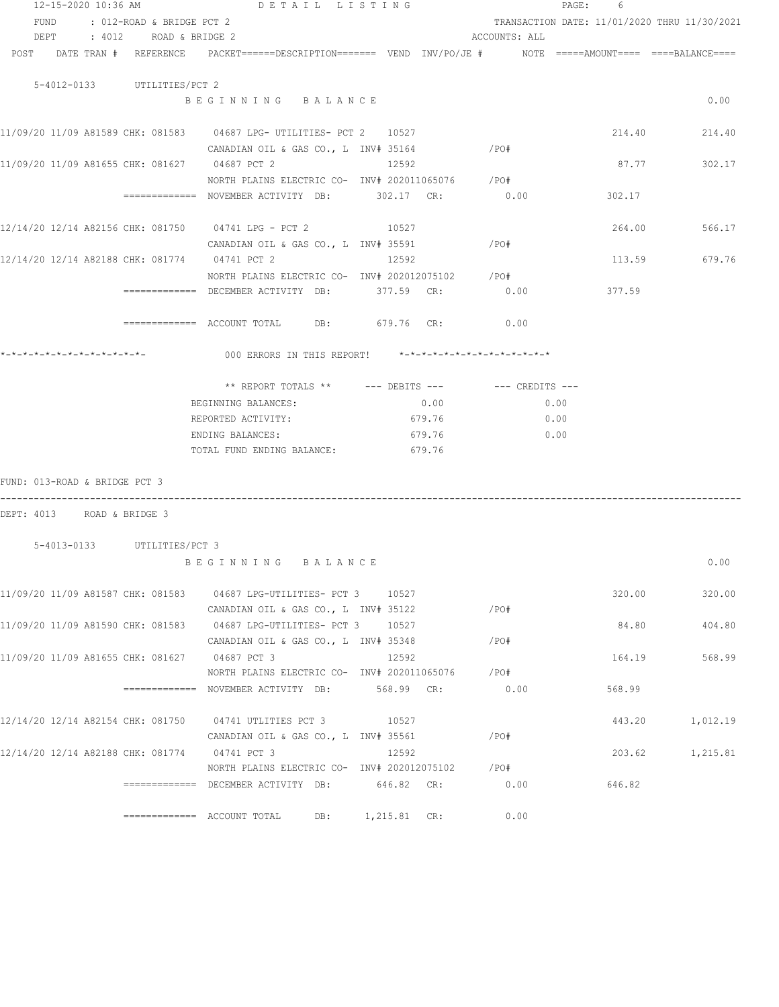| 12-15-2020 10:36 AM                           | DETAIL LISTING                                                                           |                |               | PAGE: 6                                      |               |
|-----------------------------------------------|------------------------------------------------------------------------------------------|----------------|---------------|----------------------------------------------|---------------|
| FUND : 012-ROAD & BRIDGE PCT 2                |                                                                                          |                |               | TRANSACTION DATE: 11/01/2020 THRU 11/30/2021 |               |
| DEPT : 4012 ROAD & BRIDGE 2                   |                                                                                          |                | ACCOUNTS: ALL |                                              |               |
| POST DATE TRAN # REFERENCE                    | PACKET======DESCRIPTION======= VEND INV/PO/JE #     NOTE =====AMOUNT==== ====BALANCE==== |                |               |                                              |               |
| 5-4012-0133 UTILITIES/PCT 2                   |                                                                                          |                |               |                                              |               |
|                                               | BEGINNING BALANCE                                                                        |                |               |                                              | 0.00          |
|                                               | 11/09/20 11/09 A81589 CHK: 081583 04687 LPG- UTILITIES- PCT 2 10527                      |                |               |                                              | 214.40 214.40 |
|                                               | CANADIAN OIL & GAS CO., L INV# 35164                                                     |                | /PO#          |                                              |               |
| 11/09/20 11/09 A81655 CHK: 081627 04687 PCT 2 |                                                                                          | 12592          |               | 87.77                                        | 302.17        |
|                                               | NORTH PLAINS ELECTRIC CO- INV# 202011065076 / PO#                                        |                |               |                                              |               |
|                                               | ============= NOVEMBER ACTIVITY DB: 302.17 CR:                                           |                | 0.00          | 302.17                                       |               |
|                                               | 12/14/20 12/14 A82156 CHK: 081750 04741 LPG - PCT 2 10527                                |                |               |                                              | 264.00 566.17 |
|                                               | CANADIAN OIL & GAS CO., L $INV# 35591$ /PO#                                              |                |               |                                              |               |
|                                               | 12/14/20 12/14 A82188 CHK: 081774 04741 PCT 2                                            | 12592          |               |                                              | 113.59 679.76 |
|                                               | NORTH PLAINS ELECTRIC CO- INV# 202012075102 / PO#                                        |                |               |                                              |               |
|                                               | ============= DECEMBER ACTIVITY DB: 377.59 CR: 0.00 377.59                               |                |               |                                              |               |
|                                               | $\text{F}$ ============= ACCOUNT TOTAL DB: 679.76 CR: 0.00                               |                |               |                                              |               |
|                                               | 000 ERRORS IN THIS REPORT! *-*-*-*-*-*-*-*-*-*-*-*-*-*-                                  |                |               |                                              |               |
|                                               |                                                                                          |                |               |                                              |               |
|                                               |                                                                                          |                |               |                                              |               |
|                                               | BEGINNING BALANCES:                                                                      | 0.00           |               | 0.00                                         |               |
|                                               | REPORTED ACTIVITY:                                                                       | 679.76         |               | 0.00                                         |               |
|                                               | ENDING BALANCES:                                                                         | 679.76         | 0.00          |                                              |               |
|                                               | TOTAL FUND ENDING BALANCE: 679.76                                                        |                |               |                                              |               |
| FUND: 013-ROAD & BRIDGE PCT 3                 |                                                                                          |                |               |                                              |               |
| DEPT: 4013 ROAD & BRIDGE 3                    |                                                                                          |                |               |                                              |               |
| 5-4013-0133 UTILITIES/PCT 3                   |                                                                                          |                |               |                                              |               |
|                                               | BEGINNING BALANCE                                                                        |                |               |                                              | 0.00          |
|                                               | 11/09/20 11/09 A81587 CHK: 081583 04687 LPG-UTILITIES- PCT 3                             | 10527          |               | 320.00                                       | 320.00        |
|                                               | CANADIAN OIL & GAS CO., L INV# 35122                                                     |                | /PO#          |                                              |               |
|                                               | 11/09/20 11/09 A81590 CHK: 081583 04687 LPG-UTILITIES- PCT 3                             | 10527          |               | 84.80                                        | 404.80        |
|                                               | CANADIAN OIL & GAS CO., L INV# 35348                                                     |                | /PO#          |                                              |               |
| 11/09/20 11/09 A81655 CHK: 081627 04687 PCT 3 |                                                                                          | 12592          |               | 164.19                                       | 568.99        |
|                                               | NORTH PLAINS ELECTRIC CO- INV# 202011065076                                              |                | /PO#          |                                              |               |
|                                               | ============ NOVEMBER ACTIVITY DB:                                                       | 568.99 CR:     | 0.00          | 568.99                                       |               |
| 12/14/20 12/14 A82154 CHK: 081750             | 04741 UTLITIES PCT 3                                                                     | 10527          |               | 443.20                                       | 1,012.19      |
|                                               | CANADIAN OIL & GAS CO., L INV# 35561                                                     |                | /PO#          |                                              |               |
| 12/14/20 12/14 A82188 CHK: 081774             | 04741 PCT 3                                                                              | 12592          |               | 203.62                                       | 1,215.81      |
|                                               | NORTH PLAINS ELECTRIC CO- INV# 202012075102                                              |                | /PO#          |                                              |               |
|                                               | ============= DECEMBER ACTIVITY DB:                                                      | 646.82 CR:     | 0.00          | 646.82                                       |               |
|                                               | $\equiv$ ============ ACCOUNT TOTAL<br>DB:                                               | $1,215.81$ CR: | 0.00          |                                              |               |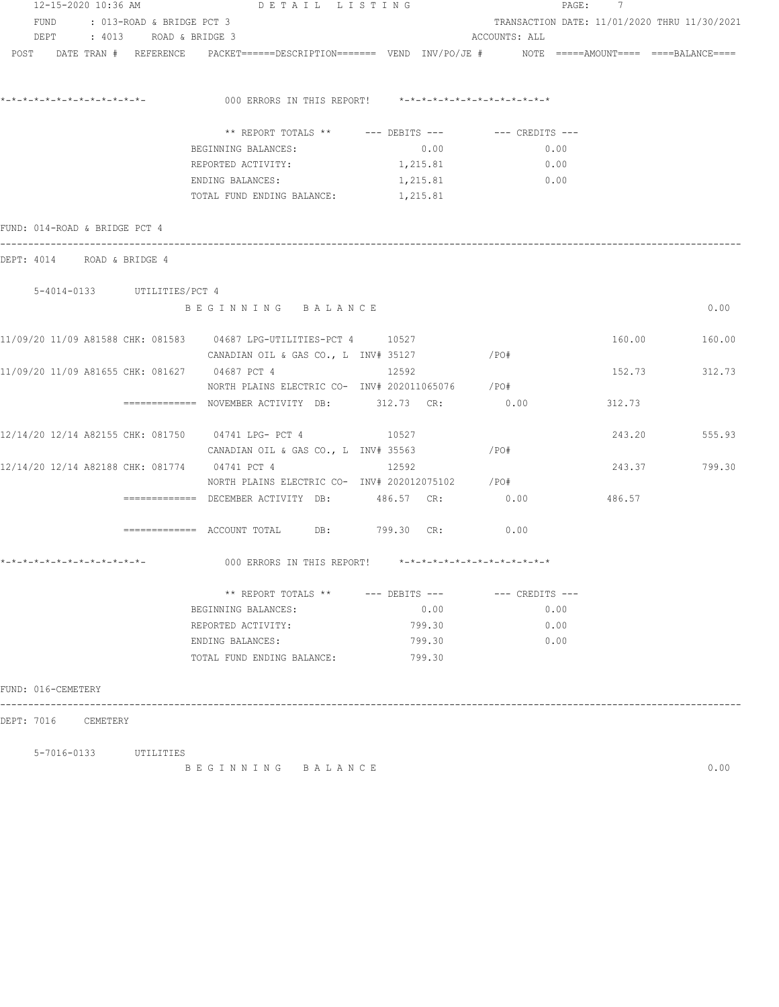|                                                                                                                 | 12-15-2020 10:36 AM DETAIL LISTING                      |                                              |               | PAGE: 7 |               |  |
|-----------------------------------------------------------------------------------------------------------------|---------------------------------------------------------|----------------------------------------------|---------------|---------|---------------|--|
| FUND : 013-ROAD & BRIDGE PCT 3                                                                                  |                                                         | TRANSACTION DATE: 11/01/2020 THRU 11/30/2021 |               |         |               |  |
| DEPT : 4013 ROAD & BRIDGE 3                                                                                     |                                                         |                                              | ACCOUNTS: ALL |         |               |  |
| POST DATE TRAN # REFERENCE PACKET======DESCRIPTION======= VEND INV/PO/JE # NOTE =====AMOUNT==== ====BALANCE==== |                                                         |                                              |               |         |               |  |
|                                                                                                                 |                                                         |                                              |               |         |               |  |
|                                                                                                                 |                                                         |                                              |               |         |               |  |
|                                                                                                                 | 000 ERRORS IN THIS REPORT! *-*-*-*-*-*-*-*-*-*-*-*-*-*- |                                              |               |         |               |  |
|                                                                                                                 | ** REPORT TOTALS ** --- DEBITS --- -- -- CREDITS ---    |                                              |               |         |               |  |
|                                                                                                                 | BEGINNING BALANCES:                                     | 0.00                                         | 0.00          |         |               |  |
|                                                                                                                 | REPORTED ACTIVITY:                                      | 1,215.81                                     | 0.00          |         |               |  |
|                                                                                                                 | ENDING BALANCES:                                        | 1,215.81                                     | 0.00          |         |               |  |
|                                                                                                                 | TOTAL FUND ENDING BALANCE: 1, 215.81                    |                                              |               |         |               |  |
|                                                                                                                 |                                                         |                                              |               |         |               |  |
| FUND: 014-ROAD & BRIDGE PCT 4                                                                                   |                                                         |                                              |               |         |               |  |
| DEPT: 4014 ROAD & BRIDGE 4                                                                                      |                                                         |                                              |               |         |               |  |
|                                                                                                                 |                                                         |                                              |               |         |               |  |
| 5-4014-0133 UTILITIES/PCT 4                                                                                     |                                                         |                                              |               |         |               |  |
|                                                                                                                 | BEGINNING BALANCE                                       |                                              |               |         | 0.00          |  |
|                                                                                                                 |                                                         |                                              |               |         |               |  |
| 11/09/20 11/09 A81588 CHK: 081583 04687 LPG-UTILITIES-PCT 4 10527                                               |                                                         |                                              |               | 160.00  | 160.00        |  |
|                                                                                                                 | CANADIAN OIL & GAS CO., L INV# 35127                    |                                              | $/$ PO#       |         |               |  |
| 11/09/20 11/09 A81655 CHK: 081627 04687 PCT 4                                                                   |                                                         | 12592                                        |               |         | 152.73 312.73 |  |
|                                                                                                                 | NORTH PLAINS ELECTRIC CO- INV# 202011065076 / PO#       |                                              |               |         |               |  |
|                                                                                                                 | ============ NOVEMBER ACTIVITY DB: 312.73 CR: 0.00      |                                              |               | 312.73  |               |  |
| 12/14/20 12/14 A82155 CHK: 081750 04741 LPG- PCT 4 10527 10527                                                  |                                                         |                                              |               |         | 243.20 555.93 |  |
|                                                                                                                 | CANADIAN OIL & GAS CO., L $INV#$ 35563 / $PO#$          |                                              |               |         |               |  |
| 12/14/20 12/14 A82188 CHK: 081774 04741 PCT 4                                                                   |                                                         | 12592                                        |               | 243.37  | 799.30        |  |
|                                                                                                                 | NORTH PLAINS ELECTRIC CO- INV# 202012075102 / PO#       |                                              |               |         |               |  |
|                                                                                                                 | ============= DECEMBER ACTIVITY DB: 486.57 CR:          |                                              | 0.00          | 486.57  |               |  |
|                                                                                                                 |                                                         |                                              |               |         |               |  |
|                                                                                                                 | ============= ACCOUNT TOTAL DB: 799.30 CR:              |                                              | 0.00          |         |               |  |
|                                                                                                                 | 000 ERRORS IN THIS REPORT! *-*-*-*-*-*-*-*-*-*-*-*-*-*- |                                              |               |         |               |  |
|                                                                                                                 | ** REPORT TOTALS ** --- DEBITS --- -- -- CREDITS ---    |                                              |               |         |               |  |
|                                                                                                                 | BEGINNING BALANCES:                                     | 0.00                                         | 0.00          |         |               |  |
|                                                                                                                 | REPORTED ACTIVITY:                                      | 799.30                                       | 0.00          |         |               |  |
|                                                                                                                 | ENDING BALANCES:                                        | 799.30                                       | 0.00          |         |               |  |
|                                                                                                                 | TOTAL FUND ENDING BALANCE:                              | 799.30                                       |               |         |               |  |
|                                                                                                                 |                                                         |                                              |               |         |               |  |
| FUND: 016-CEMETERY                                                                                              |                                                         |                                              |               |         |               |  |
|                                                                                                                 |                                                         |                                              |               |         |               |  |
| DEPT: 7016 CEMETERY                                                                                             |                                                         |                                              |               |         |               |  |

 5-7016-0133 UTILITIES B E G I N N I N G B A L A N C E 0.00